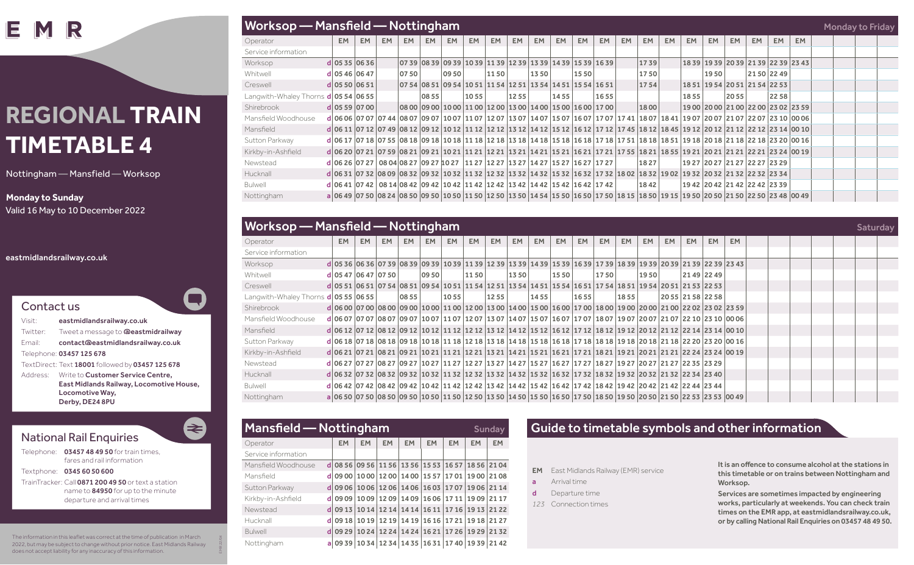IΕ IR

# **REGIONAL TRAIN TIMETABLE 4**

Nottingham — Mansfield — Worksop

#### **Monday to Sunday**

Valid 16 May to 10 December 2022

#### eastmidlandsrailway.co.uk



| Visit:   | eastmidlandsrailway.co.uk                        |
|----------|--------------------------------------------------|
| Twitter: | Tweet a message to <b>@eastmidrailway</b>        |
| Fmail:   | contact@eastmidlandsrailway.co.uk                |
|          | Telephone: 03457 125 678                         |
|          | TextDirect: Text 18001 followed by 03457 125 678 |
| Address: | Write to Customer Service Centre,                |
|          | East Midlands Railway, Locomotive House,         |
|          | Locomotive Way,                                  |
|          | Derby, DE24 8PU                                  |

### National Rail Enquiries

Telephone: 03457 48 49 50 for train times fares and rail information

Textphone: 0345 60 50 600

TrainTracker: Call 0871 200 49 50 or text a station name to 84950 for up to the minute departure and arrival times

The information in this leaflet was correct at the time of publication in March 2022, but may be subject to change without prior notice. East Midlands Railway does not accept liability for any inaccuracy of this information.

EMR 22/04

E

|                                      | Worksop — Mansfield — Nottingham<br><b>Monday to Friday</b>                                                                                                                       |           |           |           |       |           |           |           |                                                                               |           |           |           |           |           |           |           |           |           |           |                               |             |                                     |  |  |  |
|--------------------------------------|-----------------------------------------------------------------------------------------------------------------------------------------------------------------------------------|-----------|-----------|-----------|-------|-----------|-----------|-----------|-------------------------------------------------------------------------------|-----------|-----------|-----------|-----------|-----------|-----------|-----------|-----------|-----------|-----------|-------------------------------|-------------|-------------------------------------|--|--|--|
| Operator                             | EM.                                                                                                                                                                               | <b>EM</b> | <b>EM</b> | <b>EM</b> | EM.   | <b>EM</b> | <b>EM</b> | <b>EM</b> | <b>EM</b>                                                                     | <b>EM</b> | <b>EM</b> | <b>EM</b> | <b>EM</b> | <b>EM</b> | <b>EM</b> | <b>EM</b> | <b>EM</b> | <b>EM</b> | <b>EM</b> | <b>EM</b>                     | <b>EM</b>   | <b>EM</b>                           |  |  |  |
| Service information                  |                                                                                                                                                                                   |           |           |           |       |           |           |           |                                                                               |           |           |           |           |           |           |           |           |           |           |                               |             |                                     |  |  |  |
| Worksop                              | $d$ 05 35 06 36                                                                                                                                                                   |           |           |           |       |           |           |           | 07 39   08 39   09 39   10 39   11 39   12 39   13 39   14 39   15 39   16 39 |           |           |           |           |           | 1739      |           |           |           |           |                               |             | 18 39 19 39 20 39 21 39 22 39 23 43 |  |  |  |
| Whitwell                             | $d$ 05 46 06 47                                                                                                                                                                   |           |           | 0750      |       | 09 50     |           | 1150      |                                                                               | 1350      |           | 1550      |           |           | 1750      |           |           | 1950      |           |                               | 21 50 22 49 |                                     |  |  |  |
| Creswell                             | $d$ 05 50 06 51                                                                                                                                                                   |           |           |           |       |           |           |           | 07 54   08 51   09 54   10 51   11 54   12 51   13 54   14 51   15 54   16 51 |           |           |           |           |           | 1754      |           |           |           |           | 18 51 19 54 20 51 21 54 22 53 |             |                                     |  |  |  |
| Langwith-Whaley Thorns $d 0554 0655$ |                                                                                                                                                                                   |           |           |           | 08 55 |           | 1055      |           | 1255                                                                          |           | 1455      |           | 1655      |           |           |           | 1855      |           | 2055      |                               | 2258        |                                     |  |  |  |
| Shirebrook                           | d 0559 0700                                                                                                                                                                       |           |           |           |       |           |           |           | 08 00   09 00   10 00   11 00   12 00   13 00   14 00   15 00   16 00   17 00 |           |           |           |           |           | 1800      |           |           |           |           |                               |             | 19 00 20 00 21 00 22 00 23 02 23 59 |  |  |  |
| Mansfield Woodhouse                  | d 06 06  07 07 07 44  08 07  09 07  10 07  11 07  12 07  13 07  14 07  15 07  16 07  17 07  17 41  18 07  18 41  19 07  20 07  21 07  22 07  23 10  00 06                         |           |           |           |       |           |           |           |                                                                               |           |           |           |           |           |           |           |           |           |           |                               |             |                                     |  |  |  |
| Mansfield                            | d 06 11  07 12  07 49  08 12  09 12  10 12  11 12  12 12  13 12  14 12  15 12  16 12  17 12  17 45  18 12  18 45  19 12  20 12  21 12  22 12  23 14  00 10                        |           |           |           |       |           |           |           |                                                                               |           |           |           |           |           |           |           |           |           |           |                               |             |                                     |  |  |  |
| Sutton Parkway                       | d 06 17  07 18  07 55  08 18  09 18  10 18  11 18  12 18  13 18  14 18  15 18  16 18  17 18  17 51  18 18  18 51  19 18  20 18  21 18  21 18  22 18  23 20  00 16                 |           |           |           |       |           |           |           |                                                                               |           |           |           |           |           |           |           |           |           |           |                               |             |                                     |  |  |  |
| Kirkby-in-Ashfield                   | d 06 20 07 21 07 59 08 21 09 21 10 21 11 21 12 21 13 21 14 21 15 21 16 21 17 21 17 25 18 21 18 55 19 21 20 21 21 21 22 21 23 24 00 19                                             |           |           |           |       |           |           |           |                                                                               |           |           |           |           |           |           |           |           |           |           |                               |             |                                     |  |  |  |
| Newstead                             | d 06 26   07 27   08 04   08 27   09 27   10 27   11 27   12 27   13 27   14 27   15 27   16 27   17 27                                                                           |           |           |           |       |           |           |           |                                                                               |           |           |           |           |           | 1827      |           |           |           |           | 19 27 20 27 21 27 22 27 23 29 |             |                                     |  |  |  |
| Hucknall                             | d 06 31  07 32  08 09  08 32  09 32  10 32  11 32  12 32  13 32  14 32  15 32  16 32  17 32  18 02  18 32  19 02  19 32  20 32  21 32  22 32  23 34                               |           |           |           |       |           |           |           |                                                                               |           |           |           |           |           |           |           |           |           |           |                               |             |                                     |  |  |  |
| <b>Bulwell</b>                       | d 06 41  07 42   08 14   08 42   09 42   10 42   11 42   12 42   13 42   14 42   15 42   16 42   17 42                                                                            |           |           |           |       |           |           |           |                                                                               |           |           |           |           |           | 1842      |           |           |           |           | 19 42 20 42 21 42 22 42 23 39 |             |                                     |  |  |  |
| Nottingham                           | a   06 49   07 50   08 24   08 50   09 50   10 50   11 50   12 50   13 50   14 54   15 50   16 50   17 50   18 15   18 50   19 15   19 50   20 50   21 50   22 50   23 48   00 49 |           |           |           |       |           |           |           |                                                                               |           |           |           |           |           |           |           |           |           |           |                               |             |                                     |  |  |  |

|                                             | <b>Worksop</b> — Mansfield — Nottingham                                                                                                                                                   |           |     |           |       |      |           |      |           |           |           |           |           |           |           | Saturday  |                   |     |           |  |  |  |  |  |
|---------------------------------------------|-------------------------------------------------------------------------------------------------------------------------------------------------------------------------------------------|-----------|-----|-----------|-------|------|-----------|------|-----------|-----------|-----------|-----------|-----------|-----------|-----------|-----------|-------------------|-----|-----------|--|--|--|--|--|
| Operator                                    | EM                                                                                                                                                                                        | <b>EM</b> | EM. | <b>EM</b> | EM.   | EM.  | <b>EM</b> | EM.  | <b>EM</b> | <b>EM</b> | <b>EM</b> | <b>EM</b> | <b>EM</b> | <b>EM</b> | <b>EM</b> | <b>EM</b> | <b>EM</b>         | EM. | <b>EM</b> |  |  |  |  |  |
| Service information                         |                                                                                                                                                                                           |           |     |           |       |      |           |      |           |           |           |           |           |           |           |           |                   |     |           |  |  |  |  |  |
| Worksop                                     | d 05 36 06 36 07 39 08 39 09 39 10 39 11 39 12 39 13 39 14 39 15 39 16 39 17 39 18 39 19 39 20 39 21 39 22 39 23 43                                                                       |           |     |           |       |      |           |      |           |           |           |           |           |           |           |           |                   |     |           |  |  |  |  |  |
| Whitwell                                    | d 05 47 06 47 07 50                                                                                                                                                                       |           |     |           | 09 50 |      | 1150      |      | 1350      |           | 1550      |           | 1750      |           | 1950      |           | 21492249          |     |           |  |  |  |  |  |
| Creswell                                    | d 05 51 06 51 07 54 08 51 09 54 10 51 11 54 12 51 13 54 14 51 15 64 16 51 17 54 18 51 19 54 20 51 21 53 22 53                                                                             |           |     |           |       |      |           |      |           |           |           |           |           |           |           |           |                   |     |           |  |  |  |  |  |
| Langwith-Whaley Thorns <b>d 05 55 06 55</b> |                                                                                                                                                                                           |           |     | 08 55     |       | 1055 |           | 1255 |           | 1455      |           | 1655      |           | 1855      |           |           | 20 55 21 58 22 58 |     |           |  |  |  |  |  |
| Shirebrook                                  | d 06 00 07 00 08 00 09 00 10 00 11 00 12 00 13 00 14 00 15 00 16 00 17 00 18 00 19 00 20 00 21 00 22 02 23 02 23 59                                                                       |           |     |           |       |      |           |      |           |           |           |           |           |           |           |           |                   |     |           |  |  |  |  |  |
| Mansfield Woodhouse                         | d 06 07  07 07  08 07  09 07  10 07  11 07  12 07  13 07  14 07  15 07  16 07  17 07  18 07  19 07  20 07  21 07  22 10  23 10  00 06                                                     |           |     |           |       |      |           |      |           |           |           |           |           |           |           |           |                   |     |           |  |  |  |  |  |
| Mansfield                                   | d 06 12  07 12  08 12  09 12  10 12  11 12  12 12  13 12  14 12  15 12  16 12  17 12  18 12  19 12  20 12  21 12  22 14  23 14  00 10                                                     |           |     |           |       |      |           |      |           |           |           |           |           |           |           |           |                   |     |           |  |  |  |  |  |
| Sutton Parkway                              | d 06 18 07 18 08 18 09 18 10 18 11 18 12 18 13 18 14 18 15 18 16 18 17 18 18 18 19 18 20 18 21 18 22 20 23 20 00 16                                                                       |           |     |           |       |      |           |      |           |           |           |           |           |           |           |           |                   |     |           |  |  |  |  |  |
| Kirkby-in-Ashfield                          | d 06 21  07 21  08 21  09 21  10 21  11 21  12 21  13 21  14 21  15 21  16 21  17 21  18 21  19 21  20 21  21 21  22 24  23 24  00 19                                                     |           |     |           |       |      |           |      |           |           |           |           |           |           |           |           |                   |     |           |  |  |  |  |  |
| Newstead                                    | d 06 27  07 27  08 27  09 27  10 27  11 27  12 27  13 27  14 27  15 27  16 27  17 27  18 27  29 27  20 27  21 27  22 35  23 29                                                            |           |     |           |       |      |           |      |           |           |           |           |           |           |           |           |                   |     |           |  |  |  |  |  |
| Hucknall                                    | d 06 32  07 32  08 32  09 32  10 32  11 32  12 32  13 32  14 32  15 32  16 32  17 32  18 32  19 32  20 32  21 32  22 34  23 40                                                            |           |     |           |       |      |           |      |           |           |           |           |           |           |           |           |                   |     |           |  |  |  |  |  |
| Bulwell                                     | d 06 42 07 42 08 42 09 42 10 42 11 42 12 42 13 42 14 42 15 42 16 42 17 42 18 42 19 42 20 42 21 42 22 44 23 44                                                                             |           |     |           |       |      |           |      |           |           |           |           |           |           |           |           |                   |     |           |  |  |  |  |  |
| Nottingham                                  | a   06 50   07 50   08 50   09 50   10 50   11 50   12 50   13 50   14 50   15 50   16 50   17 50   18 50   19 50   20 50   21 50   22 53   23 53   20 59   23 53   23 53   23 53   23 54 |           |     |           |       |      |           |      |           |           |           |           |           |           |           |           |                   |     |           |  |  |  |  |  |

| <b>Mansfield — Nottingham</b><br><b>Sunday</b> |    |           |           |                                           |                         |                         |             |             |           |  |  |  |  |  |
|------------------------------------------------|----|-----------|-----------|-------------------------------------------|-------------------------|-------------------------|-------------|-------------|-----------|--|--|--|--|--|
| Operator                                       |    | <b>EM</b> | <b>EM</b> | <b>EM</b>                                 | <b>EM</b>               | <b>EM</b>               | <b>EM</b>   | <b>EM</b>   | <b>EM</b> |  |  |  |  |  |
| Service information                            |    |           |           |                                           |                         |                         |             |             |           |  |  |  |  |  |
| Mansfield Woodhouse                            |    | $d$ 0856  | 0956      |                                           | 11 56 13 56 15 53       |                         |             | 1657 1856   | 2104      |  |  |  |  |  |
| Mansfield                                      |    | $d$ 09 00 | 1000      |                                           | 12 00 14 00 15 57       |                         | 1701        | 19 00 21 08 |           |  |  |  |  |  |
| Sutton Parkway                                 |    | $d$ 09 06 |           | 10 06 12 06 14 06 16 03 17 07 19 06 21 14 |                         |                         |             |             |           |  |  |  |  |  |
| Kirkby-in-Ashfield                             |    | $d$ 09 09 |           | 1009 1209 1409 1606 1711 1909 2117        |                         |                         |             |             |           |  |  |  |  |  |
| Newstead                                       |    | $d$ 09 13 | 1014      |                                           | 12 14 14 14 16 11       |                         | 17 16 19 13 |             | 2122      |  |  |  |  |  |
| Hucknall                                       | dl | 09 18     | 1019      |                                           | 12 19 14 19 16 16 17 21 |                         |             | 1918        | 2127      |  |  |  |  |  |
| Bulwell                                        | dl | 09 29     | 1024      | 1224                                      |                         | 14 24 16 21 17 26 19 29 |             |             | 2132      |  |  |  |  |  |
| Nottingham                                     |    | a 09 39   |           | 10 34 12 34 14 35 16 31 17 40 19 39 21 42 |                         |                         |             |             |           |  |  |  |  |  |

## Guide to timetable symbols and other information

- **EM** East Midlands Railway (EMR) service
- a Arrival time
- d Departure time
- *123* Connection times

It is an offence to consume alcohol at the stations in this timetable or on trains between Nottingham and Worksop.

Services are sometimes impacted by engineering works, particularly at weekends. You can check train times on the EMR app, at eastmidlandsrailway.co.uk, or by calling National Rail Enquiries on 03457 48 49 50.